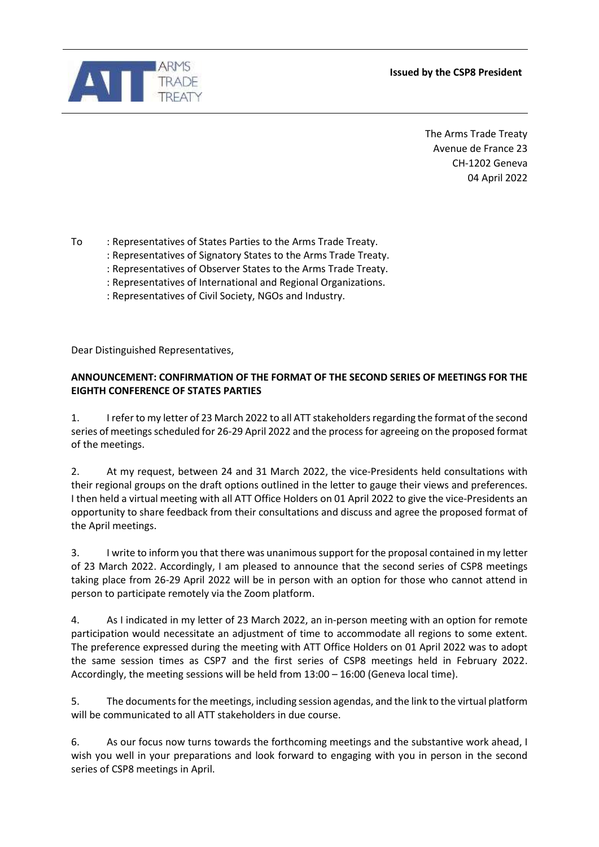**Issued by the CSP8 President**



The Arms Trade Treaty Avenue de France 23 CH-1202 Geneva 04 April 2022

To : Representatives of States Parties to the Arms Trade Treaty.

- : Representatives of Signatory States to the Arms Trade Treaty.
- : Representatives of Observer States to the Arms Trade Treaty.
- : Representatives of International and Regional Organizations.
- : Representatives of Civil Society, NGOs and Industry.

Dear Distinguished Representatives,

## **ANNOUNCEMENT: CONFIRMATION OF THE FORMAT OF THE SECOND SERIES OF MEETINGS FOR THE EIGHTH CONFERENCE OF STATES PARTIES**

1. I refer to my letter of 23 March 2022 to all ATT stakeholders regarding the format of the second series of meetings scheduled for 26-29 April 2022 and the process for agreeing on the proposed format of the meetings.

2. At my request, between 24 and 31 March 2022, the vice-Presidents held consultations with their regional groups on the draft options outlined in the letter to gauge their views and preferences. I then held a virtual meeting with all ATT Office Holders on 01 April 2022 to give the vice-Presidents an opportunity to share feedback from their consultations and discuss and agree the proposed format of the April meetings.

3. I write to inform you that there was unanimous support for the proposal contained in my letter of 23 March 2022. Accordingly, I am pleased to announce that the second series of CSP8 meetings taking place from 26-29 April 2022 will be in person with an option for those who cannot attend in person to participate remotely via the Zoom platform.

4. As I indicated in my letter of 23 March 2022, an in-person meeting with an option for remote participation would necessitate an adjustment of time to accommodate all regions to some extent. The preference expressed during the meeting with ATT Office Holders on 01 April 2022 was to adopt the same session times as CSP7 and the first series of CSP8 meetings held in February 2022. Accordingly, the meeting sessions will be held from 13:00 – 16:00 (Geneva local time).

5. The documents for the meetings, including session agendas, and the link to the virtual platform will be communicated to all ATT stakeholders in due course.

6. As our focus now turns towards the forthcoming meetings and the substantive work ahead, I wish you well in your preparations and look forward to engaging with you in person in the second series of CSP8 meetings in April.